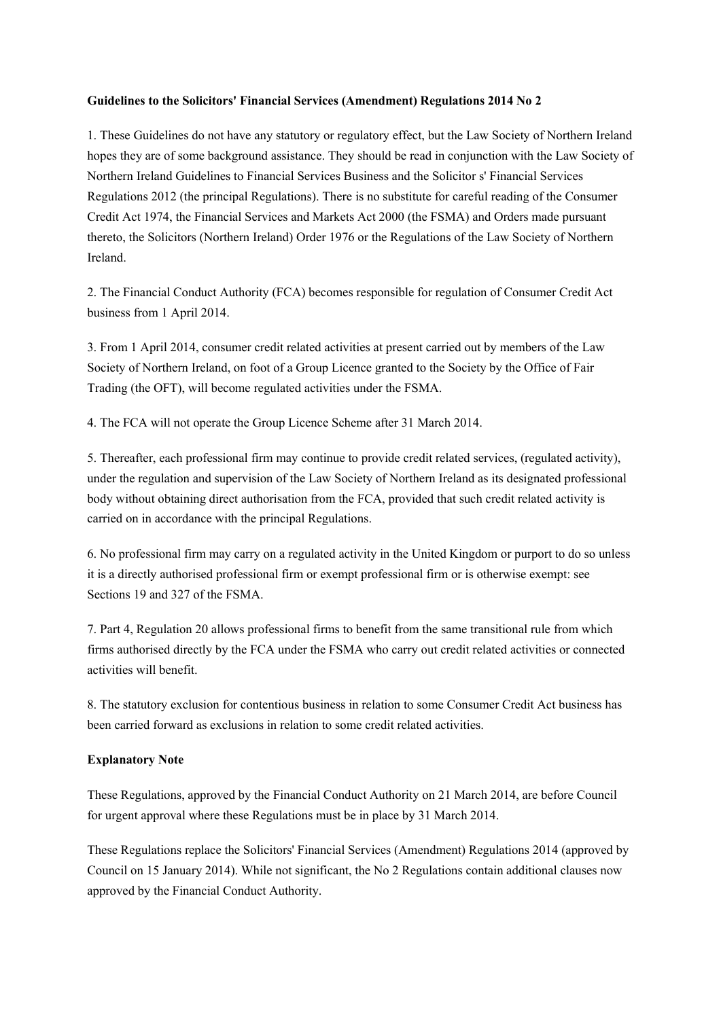## **Guidelines to the Solicitors' Financial Services (Amendment) Regulations 2014 No 2**

1. These Guidelines do not have any statutory or regulatory effect, but the Law Society of Northern Ireland hopes they are of some background assistance. They should be read in conjunction with the Law Society of Northern Ireland Guidelines to Financial Services Business and the Solicitor s' Financial Services Regulations 2012 (the principal Regulations). There is no substitute for careful reading of the Consumer Credit Act 1974, the Financial Services and Markets Act 2000 (the FSMA) and Orders made pursuant thereto, the Solicitors (Northern Ireland) Order 1976 or the Regulations of the Law Society of Northern Ireland.

2. The Financial Conduct Authority (FCA) becomes responsible for regulation of Consumer Credit Act business from 1 April 2014.

3. From 1 April 2014, consumer credit related activities at present carried out by members of the Law Society of Northern Ireland, on foot of a Group Licence granted to the Society by the Office of Fair Trading (the OFT), will become regulated activities under the FSMA.

4. The FCA will not operate the Group Licence Scheme after 31 March 2014.

5. Thereafter, each professional firm may continue to provide credit related services, (regulated activity), under the regulation and supervision of the Law Society of Northern Ireland as its designated professional body without obtaining direct authorisation from the FCA, provided that such credit related activity is carried on in accordance with the principal Regulations.

6. No professional firm may carry on a regulated activity in the United Kingdom or purport to do so unless it is a directly authorised professional firm or exempt professional firm or is otherwise exempt: see Sections 19 and 327 of the FSMA.

7. Part 4, Regulation 20 allows professional firms to benefit from the same transitional rule from which firms authorised directly by the FCA under the FSMA who carry out credit related activities or connected activities will benefit.

8. The statutory exclusion for contentious business in relation to some Consumer Credit Act business has been carried forward as exclusions in relation to some credit related activities.

## **Explanatory Note**

These Regulations, approved by the Financial Conduct Authority on 21 March 2014, are before Council for urgent approval where these Regulations must be in place by 31 March 2014.

These Regulations replace the Solicitors' Financial Services (Amendment) Regulations 2014 (approved by Council on 15 January 2014). While not significant, the No 2 Regulations contain additional clauses now approved by the Financial Conduct Authority.